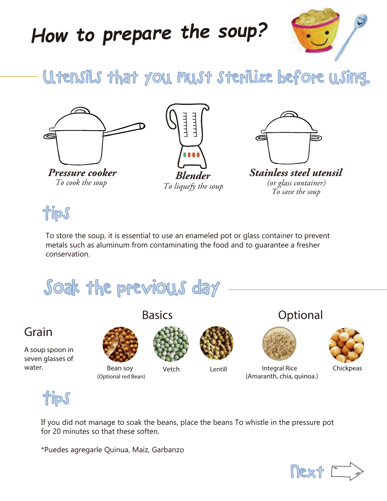# *How to prepare the soup?*



# Utensils that you must sterilize before using.





*To liquefy the soup* 



**Pressure cooker** *Blender Stainless steel utensil* To cook the soup *Cook in the stationary (or glass container) To save the soup*

Tips

To store the soup, it is essential to use an enameled pot or glass container to prevent metals such as aluminum from contaminating the food and to guarantee a fresher conservation.



Grain







*Basics Optional*



(Amaranth, chia, quinoa.)

Bean soy **Vetch** Lentill **Integral Rice** Chickpeas



If you did not manage to soak the beans, place the beans To whistle in the pressure pot for 20 minutes so that these soften.

\*Puedes agregarle Quinua, Maíz, Garbanzo

(Optional red Bean)

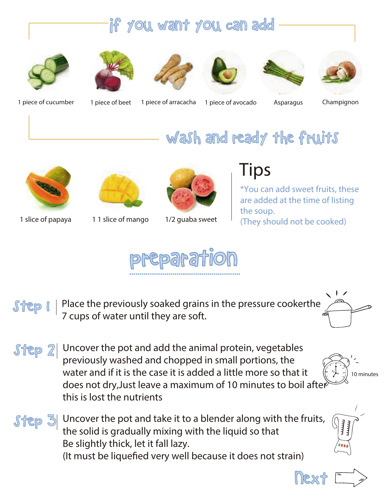#### If you want you can add















1 piece of cucumber 1 piece of beet 1 piece of arracacha 1 piece of avocado Asparagus Champignon



1 slice of papaya 1 1 slice of mango



1/2 guaba sweet

### *Tips*

Wash and ready the fruits

\*You can add sweet fruits, these are added at the time of listing the soup. (They should not be cooked)

nex<sup>'</sup>



- step 1 Place the previously soaked grains in the pressure cookerthe 7 cups of water until they are soft.
- Uncover the pot and add the animal protein, vegetables previously washed and chopped in small portions, the water and if it is the case it is added a little more so that it does not dry,Just leave a maximum of 10 minutes to boil after this is lost the nutrients
- $s$ tep  $\Im$  Uncover the pot and take it to a blender along with the fruits, the solid is gradually mixing with the liquid so that Be slightly thick, let it fall lazy. (It must be liquefied very well because it does not strain)

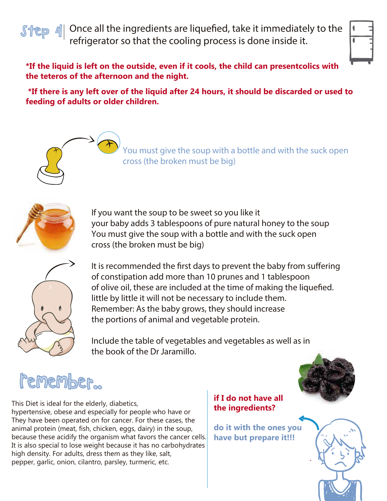$\int \frac{f}{f(x)}$  4 Once all the ingredients are liquefied, take it immediately to the refrigerator so that the cooling process is done inside it.



**\*If the liquid is left on the outside, even if it cools, the child can presentcolics with the teteros of the afternoon and the night.**

 **\*If there is any left over of the liquid after 24 hours, it should be discarded or used to feeding of adults or older children.**

> You must give the soup with a bottle and with the suck open cross (the broken must be big)



If you want the soup to be sweet so you like it your baby adds 3 tablespoons of pure natural honey to the soup You must give the soup with a bottle and with the suck open cross (the broken must be big)



It is recommended the first days to prevent the baby from suffering of constipation add more than 10 prunes and 1 tablespoon of olive oil, these are included at the time of making the liquefied. little by little it will not be necessary to include them. Remember: As the baby grows, they should increase the portions of animal and vegetable protein.

Include the table of vegetables and vegetables as well as in the book of the Dr Jaramillo.

# Remember..



This Diet is ideal for the elderly, diabetics, hypertensive, obese and especially for people who have or They have been operated on for cancer. For these cases, the animal protein (meat, fish, chicken, eggs, dairy) in the soup, because these acidify the organism what favors the cancer cells. It is also special to lose weight because it has no carbohydrates high density. For adults, dress them as they like, salt, pepper, garlic, onion, cilantro, parsley, turmeric, etc.

#### **if I do not have all the ingredients?**

**do it with the ones you have but prepare it!!!**